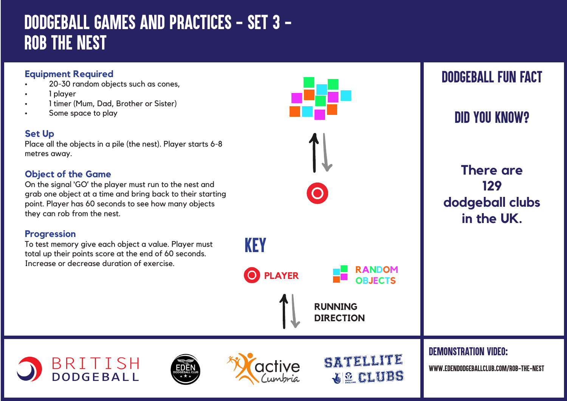# *DODGEBALL GAMES AND PRACTICES - SET 3 - ROB THE NEST*

#### **Equipment Required**

- 20-30 random objects such as cones,
- 1 player
- 1 timer (Mum, Dad, Brother or Sister)
- Some space to play

#### **Set Up**

Place all the objects in a pile (the nest). Player starts 6-8 metres away.

### **Object of the Game**

On the signal 'GO' the player must run to the nest and grab one object at a time and bring back to their starting point. Player has 60 seconds to see how many objects they can rob from the nest.

#### **Progression**

To test memory give each object a value. Player must total up their points score at the end of 60 seconds. Increase or decrease duration of exercise.

BRITISH<br>DODGEBALL





**O** PLAYER **RANDOM** 

KEY



**dodgeball clubs in the UK.**

**RUNNING DIRECTION**

**OBJECTS**

SATELLITE

**GLUBS** 

*DEMONSTRATION VIDEO:*

*www.edendodgeballclub.com/rob-the-nest*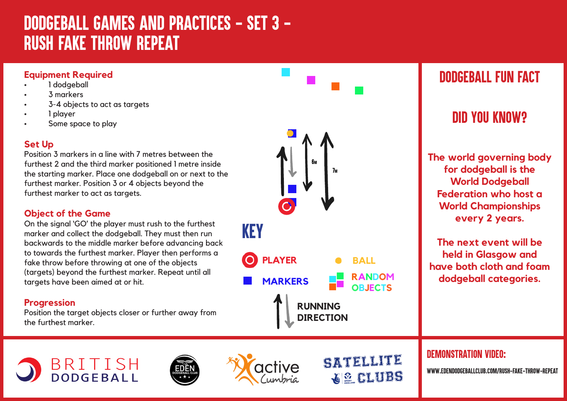# *DODGEBALL GAMES AND PRACTICES - SET 3 - RUSH FAKE THROW REPEAT*

#### **Equipment Required**

- 1 dodgeball
- $3$  markers
- 3-4 objects to act as targets
- 1 player
- Some space to play

### **Set Up**

Position 3 markers in a line with 7 metres between the furthest 2 and the third marker positioned 1 metre inside the starting marker. Place one dodgeball on or next to the furthest marker. Position 3 or 4 objects beyond the furthest marker to act as targets.

#### **Object of the Game**

On the signal 'GO' the player must rush to the furthest marker and collect the dodgeball. They must then run backwards to the middle marker before advancing back to towards the furthest marker. Player then performs a fake throw before throwing at one of the objects (targets) beyond the furthest marker. Repeat until all targets have been aimed at or hit.

#### **Progression**

Position the target objects closer or further away from the furthest marker.

BRITISH<br>DODGEBALL





SATELLITE

**ELUBS** 

## *DODGEBALL FUN FACT*

## *DID YOU KNOW?*

**The world governing body for dodgeball is the World Dodgeball Federation who host a World Championships every 2 years.** 

**The next event will be held in Glasgow and have both cloth and foam dodgeball categories.**

*DEMONSTRATION VIDEO:*

*www.edendodgeballclub.com/rush-fake-throw-repeat*